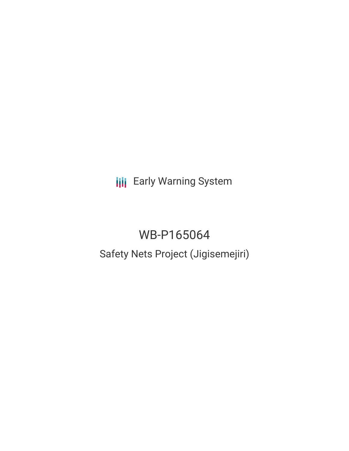**III** Early Warning System

# WB-P165064 Safety Nets Project (Jigisemejiri)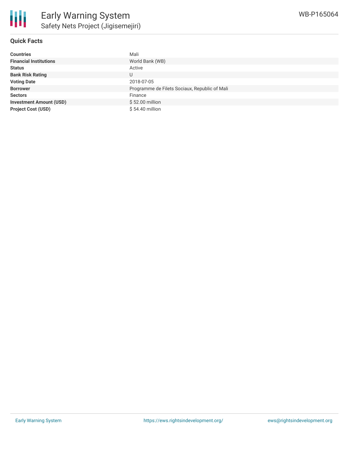

# **Quick Facts**

| <b>Countries</b>               | Mali                                          |
|--------------------------------|-----------------------------------------------|
| <b>Financial Institutions</b>  | World Bank (WB)                               |
| <b>Status</b>                  | Active                                        |
| <b>Bank Risk Rating</b>        | U                                             |
| <b>Voting Date</b>             | 2018-07-05                                    |
| <b>Borrower</b>                | Programme de Filets Sociaux, Republic of Mali |
| <b>Sectors</b>                 | Finance                                       |
| <b>Investment Amount (USD)</b> | \$52.00 million                               |
| <b>Project Cost (USD)</b>      | \$54.40 million                               |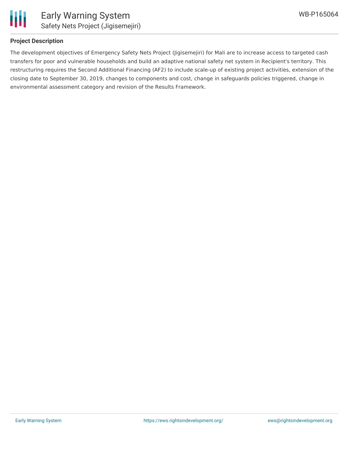

# **Project Description**

The development objectives of Emergency Safety Nets Project (Jigisemejiri) for Mali are to increase access to targeted cash transfers for poor and vulnerable households and build an adaptive national safety net system in Recipient's territory. This restructuring requires the Second Additional Financing (AF2) to include scale-up of existing project activities, extension of the closing date to September 30, 2019, changes to components and cost, change in safeguards policies triggered, change in environmental assessment category and revision of the Results Framework.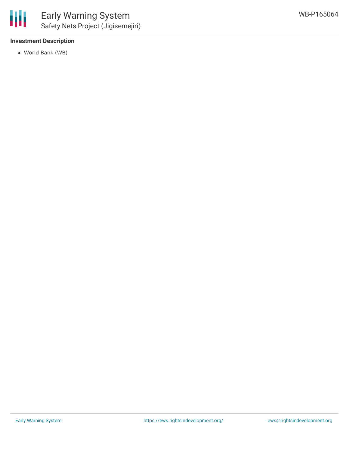### **Investment Description**

World Bank (WB)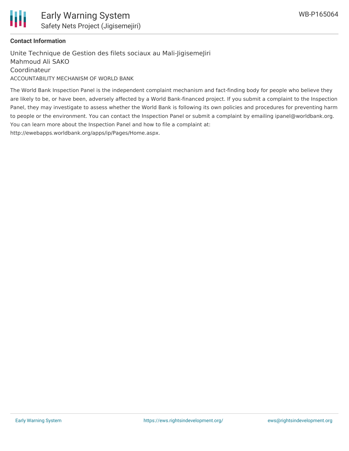

### **Contact Information**

Unite Technique de Gestion des filets sociaux au Mali-JigisemeJiri Mahmoud Ali SAKO Coordinateur ACCOUNTABILITY MECHANISM OF WORLD BANK

The World Bank Inspection Panel is the independent complaint mechanism and fact-finding body for people who believe they are likely to be, or have been, adversely affected by a World Bank-financed project. If you submit a complaint to the Inspection Panel, they may investigate to assess whether the World Bank is following its own policies and procedures for preventing harm to people or the environment. You can contact the Inspection Panel or submit a complaint by emailing ipanel@worldbank.org. You can learn more about the Inspection Panel and how to file a complaint at: http://ewebapps.worldbank.org/apps/ip/Pages/Home.aspx.